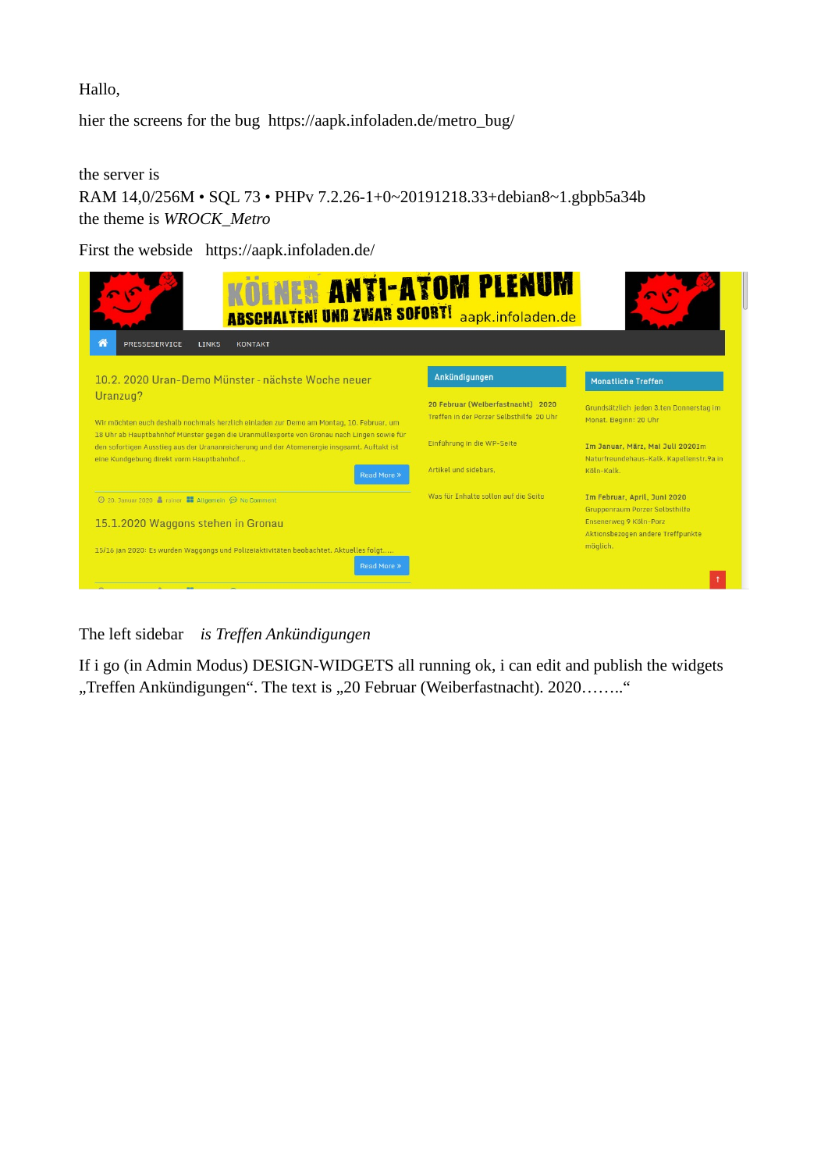Hallo,

hier the screens for the bug https://aapk.infoladen.de/metro\_bug/

the server is RAM 14,0/256M • SQL 73 • PHPv 7.2.26-1+0~20191218.33+debian8~1.gbpb5a34b the theme is *WROCK\_Metro*

First the webside https://aapk.infoladen.de/



The left sidebar *is Treffen Ankündigungen*

If i go (in Admin Modus) DESIGN-WIDGETS all running ok, i can edit and publish the widgets "Treffen Ankündigungen". The text is "20 Februar (Weiberfastnacht). 2020........"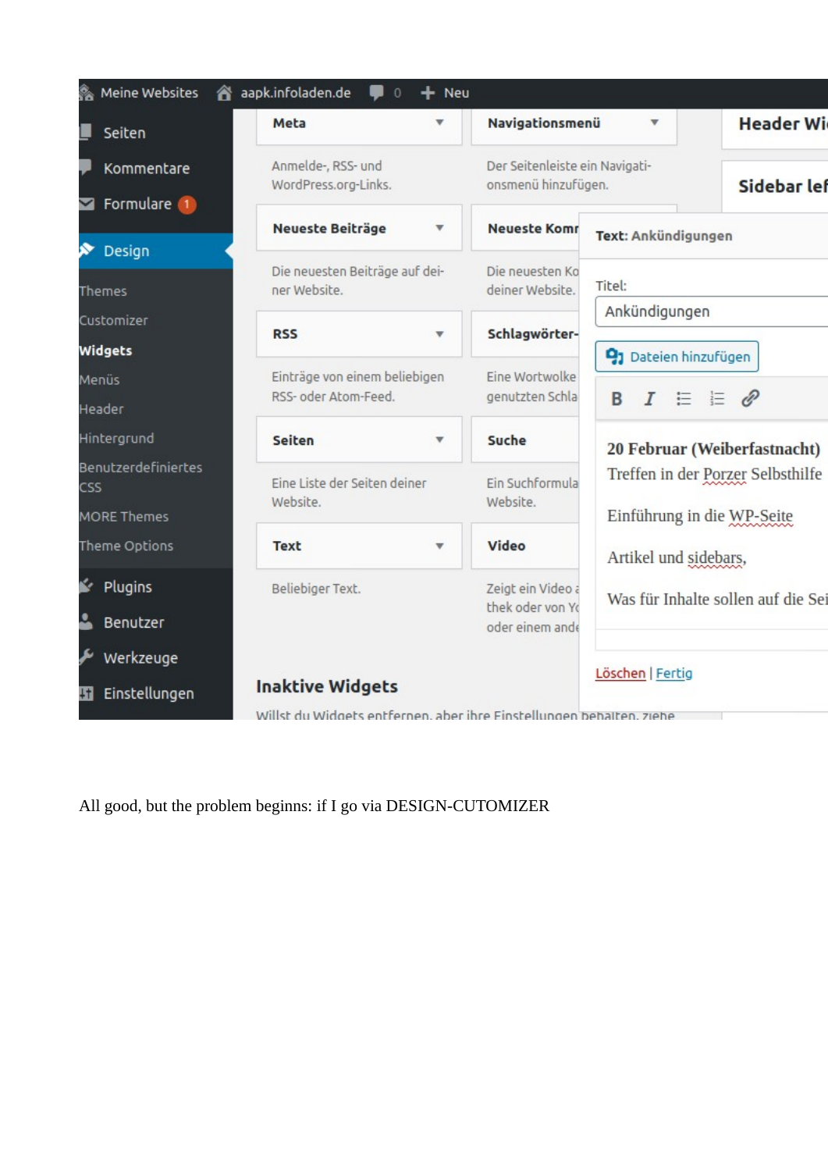| Meine Websites<br>☎               | aapk.infoladen.de<br>$\mathbf{0}$                                    | $+$ Neu                       |                                                       |                                   |                                    |  |
|-----------------------------------|----------------------------------------------------------------------|-------------------------------|-------------------------------------------------------|-----------------------------------|------------------------------------|--|
| Seiten                            | Meta                                                                 |                               | Navigationsmenü                                       |                                   | <b>Header Wi</b>                   |  |
| Kommentare                        | Anmelde-, RSS- und<br>WordPress.org-Links.                           |                               | Der Seitenleiste ein Navigati-<br>onsmenü hinzufügen. |                                   | Sidebar lef                        |  |
| Formulare 1                       |                                                                      |                               |                                                       |                                   |                                    |  |
| Design                            | <b>Neueste Beiträge</b>                                              |                               | <b>Neueste Komr</b>                                   | Text: Ankündigungen               |                                    |  |
| Themes                            | Die neuesten Beiträge auf dei-<br>ner Website.                       |                               | Die neuesten Ko<br>deiner Website.                    | Titel:                            |                                    |  |
| Customizer                        | <b>RSS</b>                                                           | $\overline{\mathbf{v}}$       | Schlagwörter-                                         | Ankündigungen                     |                                    |  |
| Widgets                           |                                                                      |                               |                                                       | 21 Dateien hinzufügen             |                                    |  |
| Menüs                             | RSS- oder Atom-Feed.                                                 | Einträge von einem beliebigen |                                                       |                                   |                                    |  |
| Header                            |                                                                      |                               | genutzten Schla                                       | $I \equiv E \otimes$<br>B         |                                    |  |
| Hintergrund                       | <b>Seiten</b>                                                        | ▼                             | <b>Suche</b>                                          |                                   | 20 Februar (Weiberfastnacht)       |  |
| Benutzerdefiniertes<br><b>CSS</b> | Eine Liste der Seiten deiner                                         |                               | Ein Suchformula                                       | Treffen in der Porzer Selbsthilfe |                                    |  |
| <b>MORE Themes</b>                | Website.                                                             |                               | Website.                                              | Einführung in die WP-Seite        |                                    |  |
| Theme Options                     | <b>Text</b>                                                          | v                             | <b>Video</b>                                          | Artikel und sidebars,             |                                    |  |
| Ń.<br>Plugins                     | Beliebiger Text.                                                     |                               | Zeigt ein Video a                                     |                                   | Was für Inhalte sollen auf die Sei |  |
| చ<br>Benutzer                     |                                                                      |                               | thek oder von Yo<br>oder einem ande                   |                                   |                                    |  |
| Werkzeuge                         |                                                                      |                               |                                                       |                                   |                                    |  |
| 51                                | <b>Inaktive Widgets</b><br>Einstellungen                             |                               |                                                       |                                   |                                    |  |
|                                   | Willst du Widgets entfernen, aber ihre Einstellungen behälten, ziehe |                               |                                                       |                                   |                                    |  |

All good, but the problem beginns: if I go via DESIGN-CUTOMIZER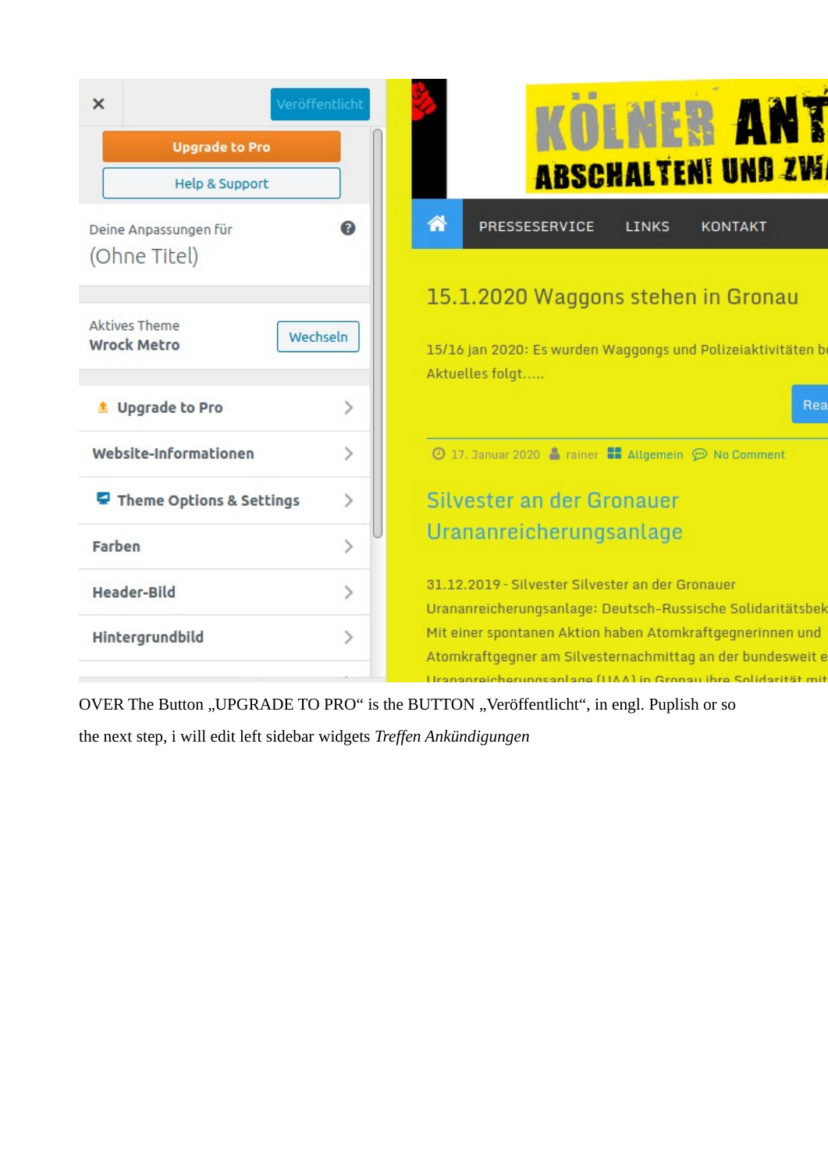

OVER The Button "UPGRADE TO PRO" is the BUTTON "Veröffentlicht", in engl. Puplish or so

the next step, i will edit left sidebar widgets *Treffen Ankündigungen*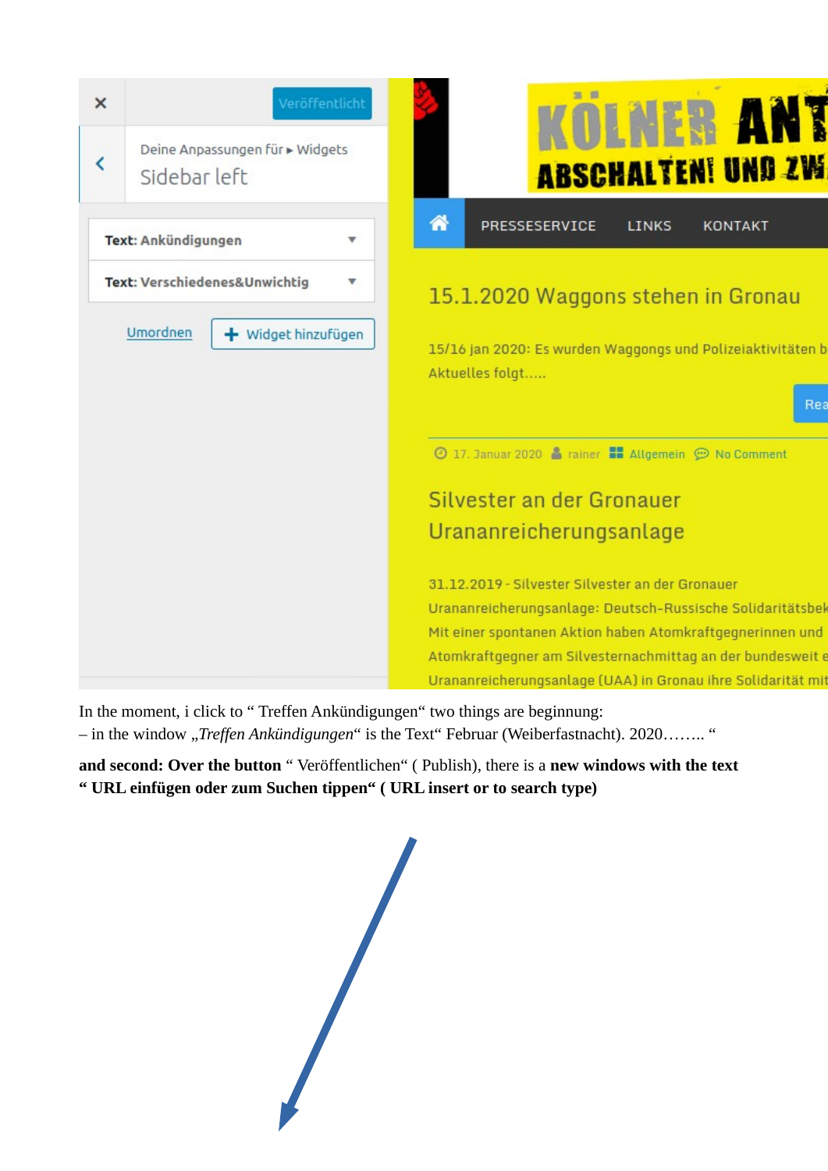

In the moment, i click to " Treffen Ankündigungen" two things are beginnung: – in the window "*Treffen Ankündigungen*" is the Text" Februar (Weiberfastnacht). 2020…….. "

**and second: Over the button** " Veröffentlichen" ( Publish), there is a **new windows with the text " URL einfügen oder zum Suchen tippen" ( URL insert or to search type)**